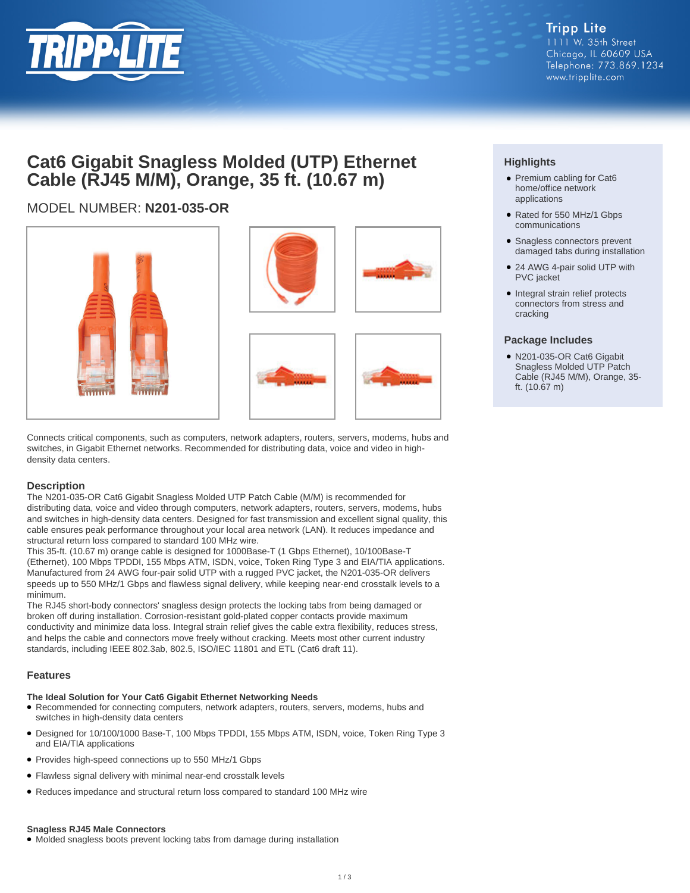

## **Cat6 Gigabit Snagless Molded (UTP) Ethernet Cable (RJ45 M/M), Orange, 35 ft. (10.67 m)**

## MODEL NUMBER: **N201-035-OR**



Connects critical components, such as computers, network adapters, routers, servers, modems, hubs and switches, in Gigabit Ethernet networks. Recommended for distributing data, voice and video in highdensity data centers.

## **Description**

The N201-035-OR Cat6 Gigabit Snagless Molded UTP Patch Cable (M/M) is recommended for distributing data, voice and video through computers, network adapters, routers, servers, modems, hubs and switches in high-density data centers. Designed for fast transmission and excellent signal quality, this cable ensures peak performance throughout your local area network (LAN). It reduces impedance and structural return loss compared to standard 100 MHz wire.

This 35-ft. (10.67 m) orange cable is designed for 1000Base-T (1 Gbps Ethernet), 10/100Base-T (Ethernet), 100 Mbps TPDDI, 155 Mbps ATM, ISDN, voice, Token Ring Type 3 and EIA/TIA applications. Manufactured from 24 AWG four-pair solid UTP with a rugged PVC jacket, the N201-035-OR delivers speeds up to 550 MHz/1 Gbps and flawless signal delivery, while keeping near-end crosstalk levels to a minimum.

The RJ45 short-body connectors' snagless design protects the locking tabs from being damaged or broken off during installation. Corrosion-resistant gold-plated copper contacts provide maximum conductivity and minimize data loss. Integral strain relief gives the cable extra flexibility, reduces stress, and helps the cable and connectors move freely without cracking. Meets most other current industry standards, including IEEE 802.3ab, 802.5, ISO/IEC 11801 and ETL (Cat6 draft 11).

## **Features**

## **The Ideal Solution for Your Cat6 Gigabit Ethernet Networking Needs**

- Recommended for connecting computers, network adapters, routers, servers, modems, hubs and switches in high-density data centers
- Designed for 10/100/1000 Base-T, 100 Mbps TPDDI, 155 Mbps ATM, ISDN, voice, Token Ring Type 3 and EIA/TIA applications
- Provides high-speed connections up to 550 MHz/1 Gbps
- Flawless signal delivery with minimal near-end crosstalk levels
- Reduces impedance and structural return loss compared to standard 100 MHz wire

#### **Snagless RJ45 Male Connectors**

● Molded snagless boots prevent locking tabs from damage during installation

## **Highlights**

- Premium cabling for Cat6 home/office network applications
- Rated for 550 MHz/1 Gbps communications
- Snagless connectors prevent damaged tabs during installation
- 24 AWG 4-pair solid UTP with PVC jacket
- Integral strain relief protects connectors from stress and cracking

## **Package Includes**

● N201-035-OR Cat6 Gigabit Snagless Molded UTP Patch Cable (RJ45 M/M), Orange, 35 ft. (10.67 m)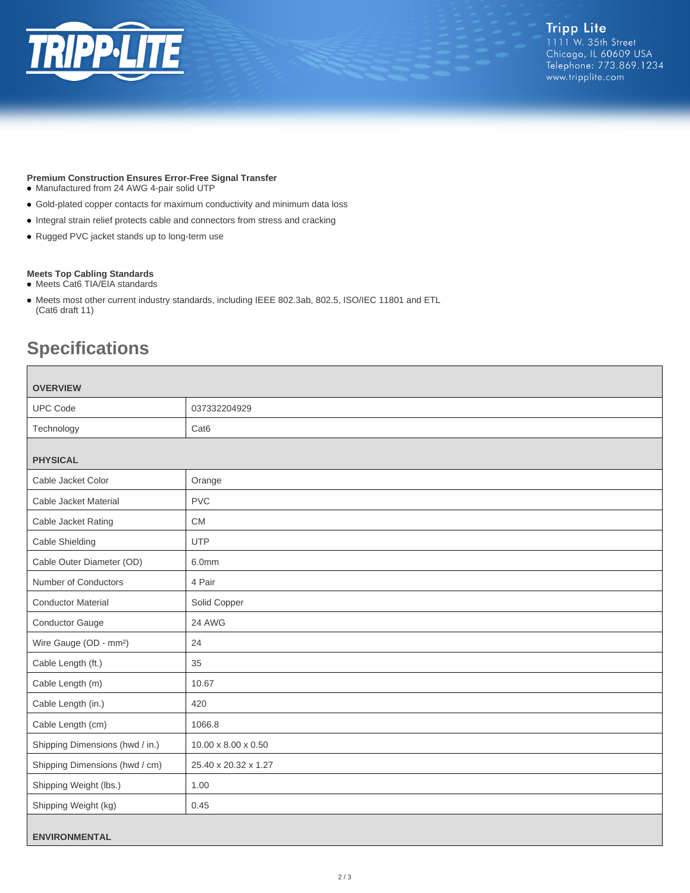

## **Premium Construction Ensures Error-Free Signal Transfer**

- Manufactured from 24 AWG 4-pair solid UTP
- Gold-plated copper contacts for maximum conductivity and minimum data loss
- Integral strain relief protects cable and connectors from stress and cracking
- Rugged PVC jacket stands up to long-term use

#### **Meets Top Cabling Standards**

- Meets Cat6 TIA/EIA standards
- Meets most other current industry standards, including IEEE 802.3ab, 802.5, ISO/IEC 11801 and ETL (Cat6 draft 11)

# **Specifications**

| <b>OVERVIEW</b>                    |                                 |  |
|------------------------------------|---------------------------------|--|
| <b>UPC Code</b>                    | 037332204929                    |  |
| Technology                         | Cat <sub>6</sub>                |  |
| <b>PHYSICAL</b>                    |                                 |  |
| Cable Jacket Color                 | Orange                          |  |
| Cable Jacket Material              | <b>PVC</b>                      |  |
| Cable Jacket Rating                | <b>CM</b>                       |  |
| Cable Shielding                    | <b>UTP</b>                      |  |
| Cable Outer Diameter (OD)          | 6.0mm                           |  |
| Number of Conductors               | 4 Pair                          |  |
| <b>Conductor Material</b>          | Solid Copper                    |  |
| <b>Conductor Gauge</b>             | 24 AWG                          |  |
| Wire Gauge (OD - mm <sup>2</sup> ) | 24                              |  |
| Cable Length (ft.)                 | 35                              |  |
| Cable Length (m)                   | 10.67                           |  |
| Cable Length (in.)                 | 420                             |  |
| Cable Length (cm)                  | 1066.8                          |  |
| Shipping Dimensions (hwd / in.)    | $10.00 \times 8.00 \times 0.50$ |  |
| Shipping Dimensions (hwd / cm)     | 25.40 x 20.32 x 1.27            |  |
| Shipping Weight (lbs.)             | 1.00                            |  |
| Shipping Weight (kg)               | 0.45                            |  |
| <b>ENVIRONMENTAL</b>               |                                 |  |